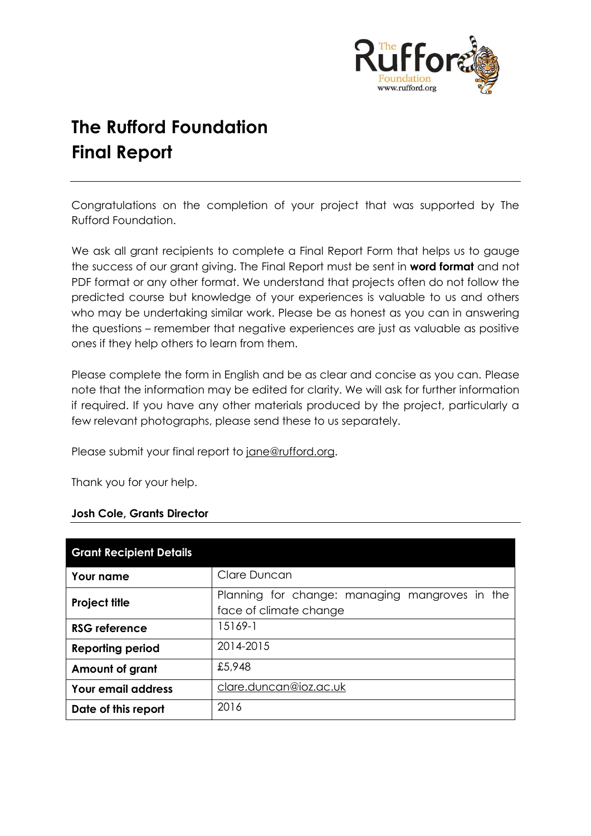

# **The Rufford Foundation Final Report**

Congratulations on the completion of your project that was supported by The Rufford Foundation.

We ask all grant recipients to complete a Final Report Form that helps us to gauge the success of our grant giving. The Final Report must be sent in **word format** and not PDF format or any other format. We understand that projects often do not follow the predicted course but knowledge of your experiences is valuable to us and others who may be undertaking similar work. Please be as honest as you can in answering the questions – remember that negative experiences are just as valuable as positive ones if they help others to learn from them.

Please complete the form in English and be as clear and concise as you can. Please note that the information may be edited for clarity. We will ask for further information if required. If you have any other materials produced by the project, particularly a few relevant photographs, please send these to us separately.

Please submit your final report to [jane@rufford.org.](mailto:jane@rufford.org)

Thank you for your help.

#### **Josh Cole, Grants Director**

| <b>Grant Recipient Details</b> |                                                                          |
|--------------------------------|--------------------------------------------------------------------------|
| Your name                      | Clare Duncan                                                             |
| <b>Project title</b>           | Planning for change: managing mangroves in the<br>face of climate change |
| <b>RSG reference</b>           | 15169-1                                                                  |
| <b>Reporting period</b>        | 2014-2015                                                                |
| Amount of grant                | £5,948                                                                   |
| <b>Your email address</b>      | clare.duncan@ioz.ac.uk                                                   |
| Date of this report            | 2016                                                                     |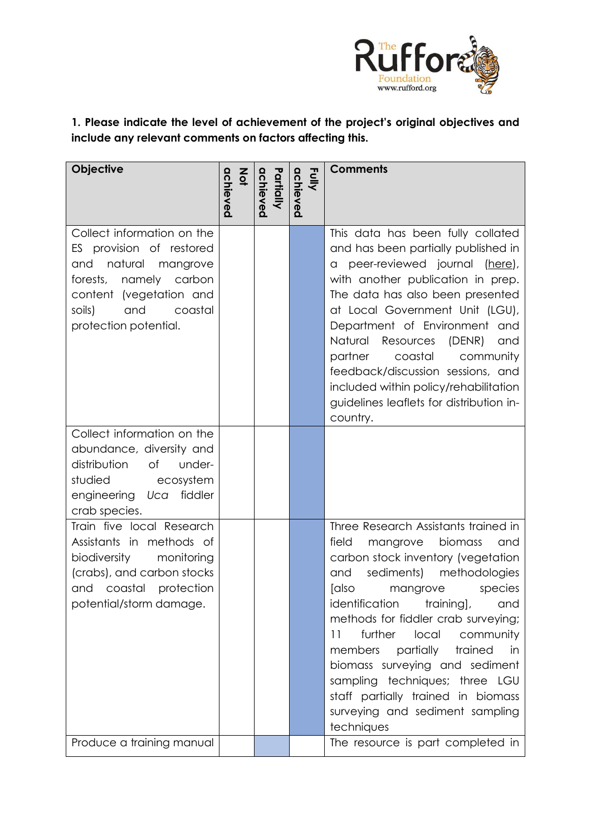

**1. Please indicate the level of achievement of the project's original objectives and include any relevant comments on factors affecting this.** 

| Objective                                                                                                                                                                                   | $rac{2}{9}$<br>achieved | Partially<br>achieved | Fully<br>achieved | <b>Comments</b>                                                                                                                                                                                                                                                                                                                                                                                                                                                                                            |
|---------------------------------------------------------------------------------------------------------------------------------------------------------------------------------------------|-------------------------|-----------------------|-------------------|------------------------------------------------------------------------------------------------------------------------------------------------------------------------------------------------------------------------------------------------------------------------------------------------------------------------------------------------------------------------------------------------------------------------------------------------------------------------------------------------------------|
| Collect information on the<br>ES provision of restored<br>natural mangrove<br>and<br>forests, namely carbon<br>content (vegetation and<br>coastal<br>soils)<br>and<br>protection potential. |                         |                       |                   | This data has been fully collated<br>and has been partially published in<br>a peer-reviewed journal (here),<br>with another publication in prep.<br>The data has also been presented<br>at Local Government Unit (LGU),<br>Department of Environment and<br>Natural<br>Resources<br>(DENR)<br>and<br>partner coastal<br>community<br>feedback/discussion sessions, and<br>included within policy/rehabilitation<br>guidelines leaflets for distribution in-<br>country.                                    |
| Collect information on the<br>abundance, diversity and<br>distribution<br>of<br>under-<br>studied<br>ecosystem<br>fiddler<br>engineering Uca<br>crab species.                               |                         |                       |                   |                                                                                                                                                                                                                                                                                                                                                                                                                                                                                                            |
| Train five local Research<br>Assistants in methods of<br>biodiversity<br>monitoring<br>(crabs), and carbon stocks<br>and coastal protection<br>potential/storm damage.                      |                         |                       |                   | Three Research Assistants trained in<br>field<br>biomass<br>mangrove<br>and<br>carbon stock inventory (vegetation<br>sediments) methodologies<br>and<br>[also<br>mangrove<br>species<br>identification training],<br>and<br>methods for fiddler crab surveying;<br>further<br>11<br>local<br>community<br>partially<br>trained<br>members<br>in<br>biomass surveying and sediment<br>sampling techniques; three LGU<br>staff partially trained in biomass<br>surveying and sediment sampling<br>techniques |
| Produce a training manual                                                                                                                                                                   |                         |                       |                   | The resource is part completed in                                                                                                                                                                                                                                                                                                                                                                                                                                                                          |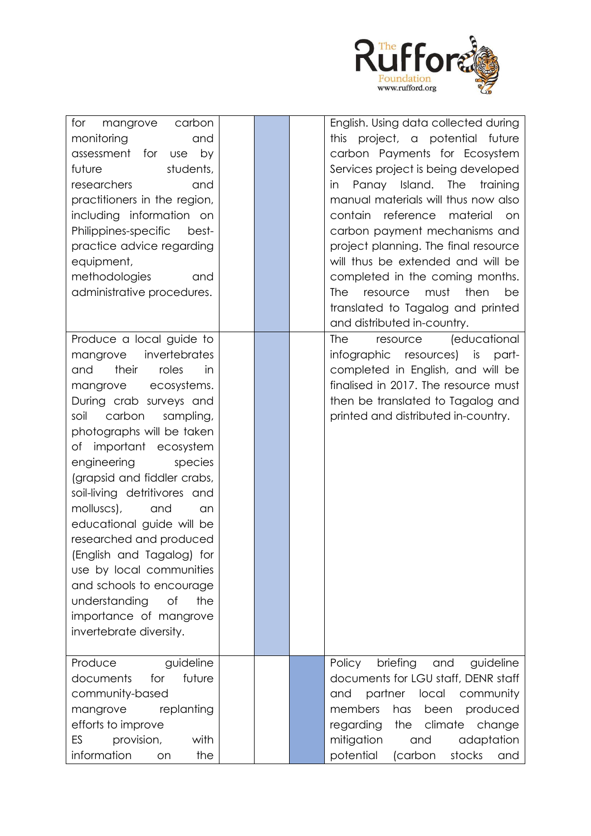

| for<br>mangrove<br>carbon<br>monitoring<br>and<br>assessment for<br>by<br><b>use</b><br>students,<br>future<br>researchers<br>and<br>practitioners in the region,<br>including information on<br>Philippines-specific<br>best-<br>practice advice regarding<br>equipment,<br>methodologies<br>and<br>administrative procedures.                                                                                                                                                                                                                                                      |  | English. Using data collected during<br>this project, a potential future<br>carbon Payments for Ecosystem<br>Services project is being developed<br>in Panay Island. The<br>training<br>manual materials will thus now also<br>contain reference<br>material<br>on<br>carbon payment mechanisms and<br>project planning. The final resource<br>will thus be extended and will be<br>completed in the coming months.<br>must<br>then<br><b>The</b><br>resource<br>be<br>translated to Tagalog and printed<br>and distributed in-country. |
|--------------------------------------------------------------------------------------------------------------------------------------------------------------------------------------------------------------------------------------------------------------------------------------------------------------------------------------------------------------------------------------------------------------------------------------------------------------------------------------------------------------------------------------------------------------------------------------|--|-----------------------------------------------------------------------------------------------------------------------------------------------------------------------------------------------------------------------------------------------------------------------------------------------------------------------------------------------------------------------------------------------------------------------------------------------------------------------------------------------------------------------------------------|
| Produce a local guide to<br>invertebrates<br>mangrove<br>their<br>roles<br>and<br>in<br>mangrove<br>ecosystems.<br>During crab surveys and<br>carbon<br>soil<br>sampling,<br>photographs will be taken<br>of important ecosystem<br>engineering<br>species<br>(grapsid and fiddler crabs,<br>soil-living detritivores and<br>molluscs),<br>and<br>an<br>educational guide will be<br>researched and produced<br>(English and Tagalog) for<br>use by local communities<br>and schools to encourage<br>the<br>understanding<br>Οf<br>importance of mangrove<br>invertebrate diversity. |  | (educational<br><b>The</b><br>resource<br>infographic resources) is part-<br>completed in English, and will be<br>finalised in 2017. The resource must<br>then be translated to Tagalog and<br>printed and distributed in-country.                                                                                                                                                                                                                                                                                                      |
| Produce<br>guideline<br>future<br>documents<br>for<br>community-based<br>replanting<br>mangrove<br>efforts to improve<br>provision,<br>ES<br>with<br>information<br>the<br>on                                                                                                                                                                                                                                                                                                                                                                                                        |  | briefing<br>Policy<br>and<br>guideline<br>documents for LGU staff, DENR staff<br>partner<br>local<br>community<br>and<br>members<br>has<br>been<br>produced<br>climate<br>regarding<br>change<br>the<br>mitigation<br>adaptation<br>and<br>potential<br>(carbon<br>stocks<br>and                                                                                                                                                                                                                                                        |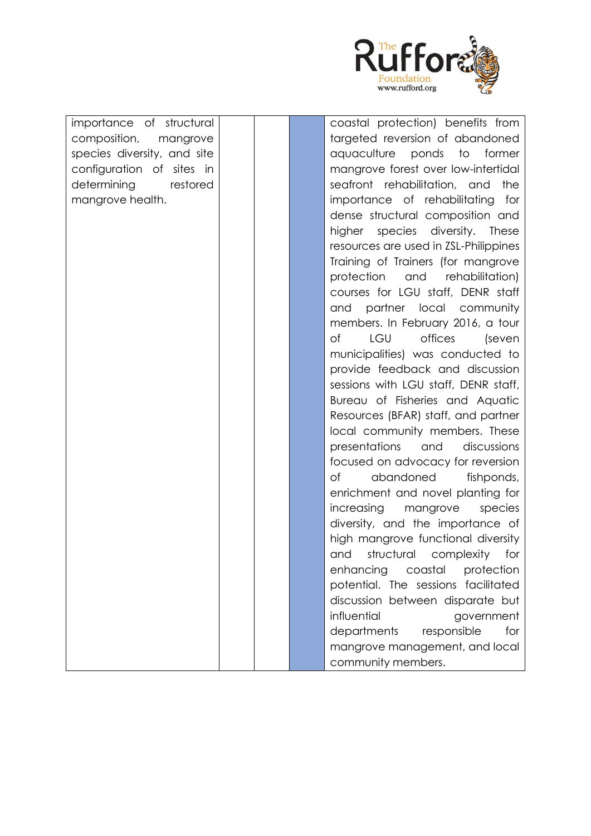

importance of structural composition, mangrove species diversity, and site configuration of sites in determining restored mangrove health.

coastal protection) benefits from targeted reversion of abandoned aquaculture ponds to former mangrove forest over low-intertidal seafront rehabilitation, and the importance of rehabilitating for dense structural composition and higher species diversity. These resources are used in ZSL-Philippines Training of Trainers (for mangrove protection and rehabilitation) courses for LGU staff, DENR staff and partner local community members. In February 2016, a tour of LGU offices (seven municipalities) was conducted to provide feedback and discussion sessions with LGU staff, DENR staff, Bureau of Fisheries and Aquatic Resources (BFAR) staff, and partner local community members. These presentations and discussions focused on advocacy for reversion of abandoned fishponds, enrichment and novel planting for increasing mangrove species diversity, and the importance of high mangrove functional diversity and structural complexity for enhancing coastal protection potential. The sessions facilitated discussion between disparate but influential government departments responsible for mangrove management, and local community members.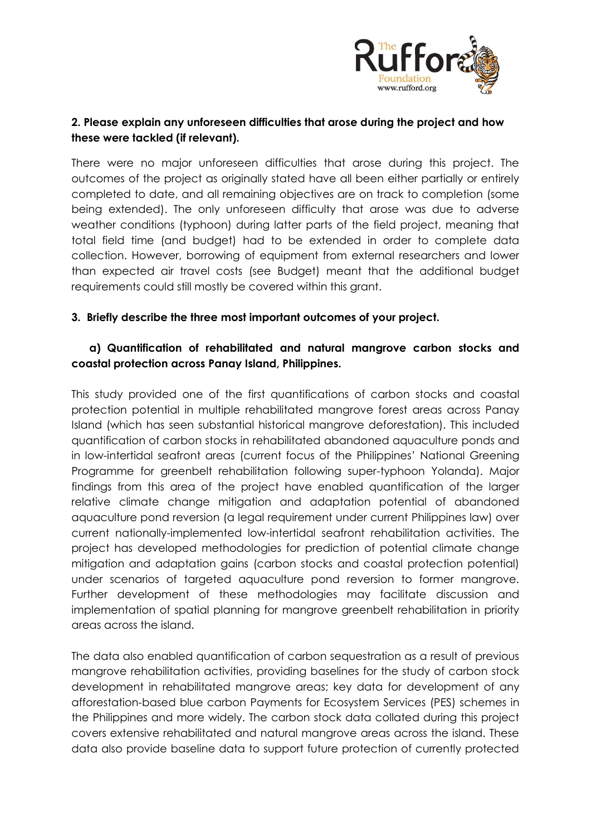

# **2. Please explain any unforeseen difficulties that arose during the project and how these were tackled (if relevant).**

There were no major unforeseen difficulties that arose during this project. The outcomes of the project as originally stated have all been either partially or entirely completed to date, and all remaining objectives are on track to completion (some being extended). The only unforeseen difficulty that arose was due to adverse weather conditions (typhoon) during latter parts of the field project, meaning that total field time (and budget) had to be extended in order to complete data collection. However, borrowing of equipment from external researchers and lower than expected air travel costs (see Budget) meant that the additional budget requirements could still mostly be covered within this grant.

### **3. Briefly describe the three most important outcomes of your project.**

# **a) Quantification of rehabilitated and natural mangrove carbon stocks and coastal protection across Panay Island, Philippines.**

This study provided one of the first quantifications of carbon stocks and coastal protection potential in multiple rehabilitated mangrove forest areas across Panay Island (which has seen substantial historical mangrove deforestation). This included quantification of carbon stocks in rehabilitated abandoned aquaculture ponds and in low-intertidal seafront areas (current focus of the Philippines' National Greening Programme for greenbelt rehabilitation following super-typhoon Yolanda). Major findings from this area of the project have enabled quantification of the larger relative climate change mitigation and adaptation potential of abandoned aquaculture pond reversion (a legal requirement under current Philippines law) over current nationally-implemented low-intertidal seafront rehabilitation activities. The project has developed methodologies for prediction of potential climate change mitigation and adaptation gains (carbon stocks and coastal protection potential) under scenarios of targeted aquaculture pond reversion to former mangrove. Further development of these methodologies may facilitate discussion and implementation of spatial planning for mangrove greenbelt rehabilitation in priority areas across the island.

The data also enabled quantification of carbon sequestration as a result of previous mangrove rehabilitation activities, providing baselines for the study of carbon stock development in rehabilitated mangrove areas; key data for development of any afforestation-based blue carbon Payments for Ecosystem Services (PES) schemes in the Philippines and more widely. The carbon stock data collated during this project covers extensive rehabilitated and natural mangrove areas across the island. These data also provide baseline data to support future protection of currently protected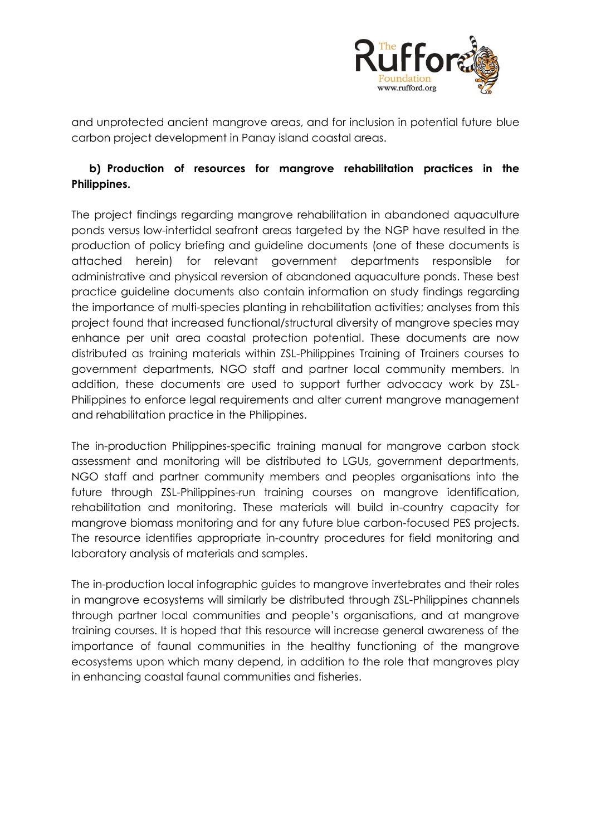

and unprotected ancient mangrove areas, and for inclusion in potential future blue carbon project development in Panay island coastal areas.

# **b) Production of resources for mangrove rehabilitation practices in the Philippines.**

The project findings regarding mangrove rehabilitation in abandoned aquaculture ponds versus low-intertidal seafront areas targeted by the NGP have resulted in the production of policy briefing and guideline documents (one of these documents is attached herein) for relevant government departments responsible for administrative and physical reversion of abandoned aquaculture ponds. These best practice guideline documents also contain information on study findings regarding the importance of multi-species planting in rehabilitation activities; analyses from this project found that increased functional/structural diversity of mangrove species may enhance per unit area coastal protection potential. These documents are now distributed as training materials within ZSL-Philippines Training of Trainers courses to government departments, NGO staff and partner local community members. In addition, these documents are used to support further advocacy work by ZSL-Philippines to enforce legal requirements and alter current mangrove management and rehabilitation practice in the Philippines.

The in-production Philippines-specific training manual for mangrove carbon stock assessment and monitoring will be distributed to LGUs, government departments, NGO staff and partner community members and peoples organisations into the future through ZSL-Philippines-run training courses on mangrove identification, rehabilitation and monitoring. These materials will build in-country capacity for mangrove biomass monitoring and for any future blue carbon-focused PES projects. The resource identifies appropriate in-country procedures for field monitoring and laboratory analysis of materials and samples.

The in-production local infographic guides to mangrove invertebrates and their roles in mangrove ecosystems will similarly be distributed through ZSL-Philippines channels through partner local communities and people's organisations, and at mangrove training courses. It is hoped that this resource will increase general awareness of the importance of faunal communities in the healthy functioning of the mangrove ecosystems upon which many depend, in addition to the role that mangroves play in enhancing coastal faunal communities and fisheries.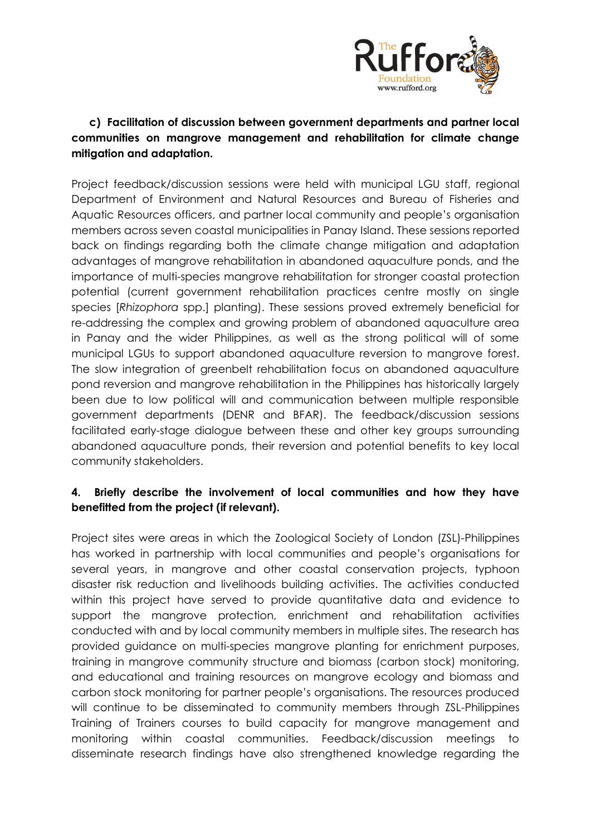

# **c) Facilitation of discussion between government departments and partner local communities on mangrove management and rehabilitation for climate change mitigation and adaptation.**

Project feedback/discussion sessions were held with municipal LGU staff, regional Department of Environment and Natural Resources and Bureau of Fisheries and Aquatic Resources officers, and partner local community and people's organisation members across seven coastal municipalities in Panay Island. These sessions reported back on findings regarding both the climate change mitigation and adaptation advantages of mangrove rehabilitation in abandoned aquaculture ponds, and the importance of multi-species mangrove rehabilitation for stronger coastal protection potential (current government rehabilitation practices centre mostly on single species [*Rhizophora* spp.] planting). These sessions proved extremely beneficial for re-addressing the complex and growing problem of abandoned aquaculture area in Panay and the wider Philippines, as well as the strong political will of some municipal LGUs to support abandoned aquaculture reversion to mangrove forest. The slow integration of greenbelt rehabilitation focus on abandoned aquaculture pond reversion and mangrove rehabilitation in the Philippines has historically largely been due to low political will and communication between multiple responsible government departments (DENR and BFAR). The feedback/discussion sessions facilitated early-stage dialogue between these and other key groups surrounding abandoned aquaculture ponds, their reversion and potential benefits to key local community stakeholders.

### **4. Briefly describe the involvement of local communities and how they have benefitted from the project (if relevant).**

Project sites were areas in which the Zoological Society of London (ZSL)-Philippines has worked in partnership with local communities and people's organisations for several years, in mangrove and other coastal conservation projects, typhoon disaster risk reduction and livelihoods building activities. The activities conducted within this project have served to provide quantitative data and evidence to support the mangrove protection, enrichment and rehabilitation activities conducted with and by local community members in multiple sites. The research has provided guidance on multi-species mangrove planting for enrichment purposes, training in mangrove community structure and biomass (carbon stock) monitoring, and educational and training resources on mangrove ecology and biomass and carbon stock monitoring for partner people's organisations. The resources produced will continue to be disseminated to community members through ZSL-Philippines Training of Trainers courses to build capacity for mangrove management and monitoring within coastal communities. Feedback/discussion meetings to disseminate research findings have also strengthened knowledge regarding the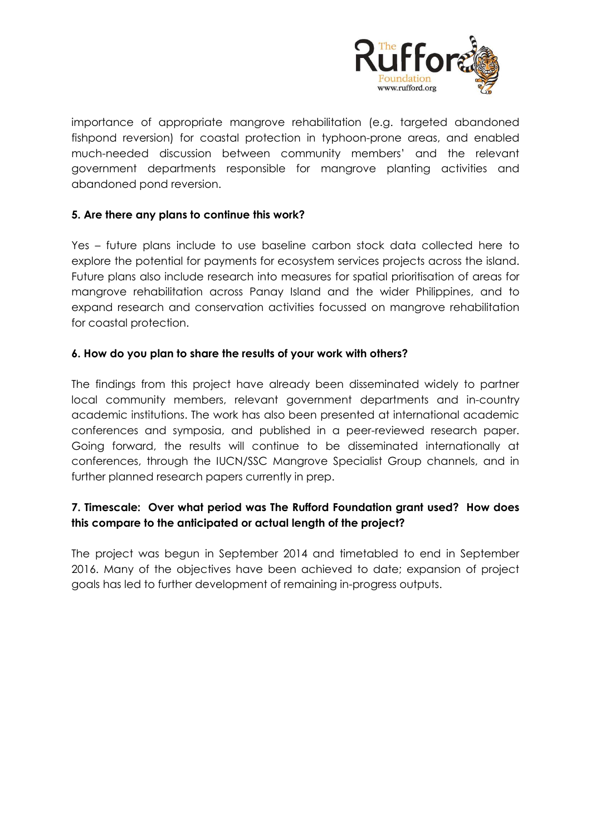

importance of appropriate mangrove rehabilitation (e.g. targeted abandoned fishpond reversion) for coastal protection in typhoon-prone areas, and enabled much-needed discussion between community members' and the relevant government departments responsible for mangrove planting activities and abandoned pond reversion.

#### **5. Are there any plans to continue this work?**

Yes – future plans include to use baseline carbon stock data collected here to explore the potential for payments for ecosystem services projects across the island. Future plans also include research into measures for spatial prioritisation of areas for mangrove rehabilitation across Panay Island and the wider Philippines, and to expand research and conservation activities focussed on mangrove rehabilitation for coastal protection.

#### **6. How do you plan to share the results of your work with others?**

The findings from this project have already been disseminated widely to partner local community members, relevant government departments and in-country academic institutions. The work has also been presented at international academic conferences and symposia, and published in a peer-reviewed research paper. Going forward, the results will continue to be disseminated internationally at conferences, through the IUCN/SSC Mangrove Specialist Group channels, and in further planned research papers currently in prep.

# **7. Timescale: Over what period was The Rufford Foundation grant used? How does this compare to the anticipated or actual length of the project?**

The project was begun in September 2014 and timetabled to end in September 2016. Many of the objectives have been achieved to date; expansion of project goals has led to further development of remaining in-progress outputs.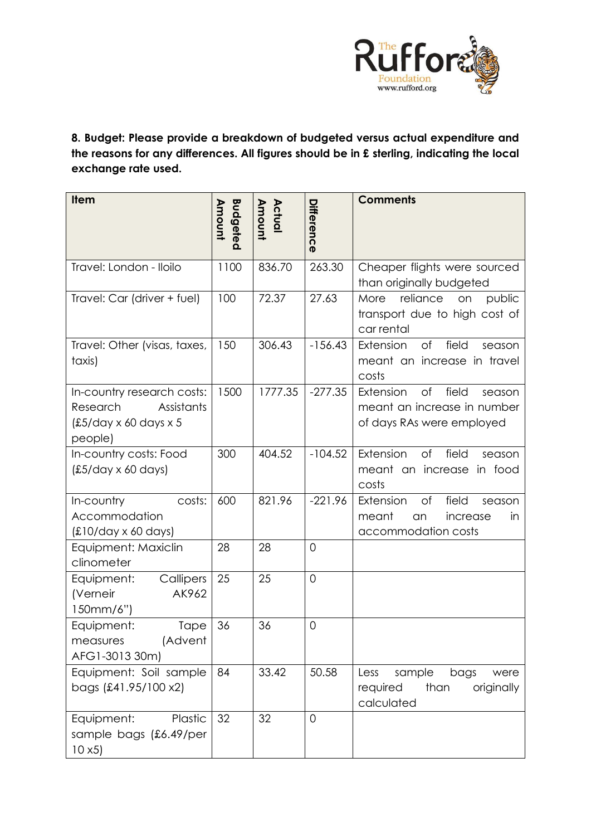

**8. Budget: Please provide a breakdown of budgeted versus actual expenditure and the reasons for any differences. All figures should be in £ sterling, indicating the local exchange rate used.** 

| <b>Item</b>                                                                                                   | <b>Budgeted</b><br>Amount | Actual<br>Amount | Difference     | <b>Comments</b>                                                                                   |
|---------------------------------------------------------------------------------------------------------------|---------------------------|------------------|----------------|---------------------------------------------------------------------------------------------------|
| Travel: London - Iloilo                                                                                       | 1100                      | 836.70           | 263.30         | Cheaper flights were sourced<br>than originally budgeted                                          |
| Travel: Car (driver + fuel)                                                                                   | 100                       | 72.37            | 27.63          | reliance<br>public<br>More<br>on<br>transport due to high cost of<br>car rental                   |
| Travel: Other (visas, taxes,<br>taxis)                                                                        | 150                       | 306.43           | $-156.43$      | of<br>field<br>Extension<br>season<br>meant an increase in travel<br>costs                        |
| In-country research costs:<br>Research<br>Assistants<br>$\frac{£5}{day} \times 60$ days $\times 5$<br>people) | 1500                      | 1777.35          | $-277.35$      | field<br>Extension<br>of<br>season<br>meant an increase in number<br>of days RAs were employed    |
| In-country costs: Food<br>$(E5/day \times 60 \text{ days})$                                                   | 300                       | 404.52           | $-104.52$      | Extension<br>of<br>field<br>season<br>meant an increase<br>in food<br>costs                       |
| In-country<br>costs:<br>Accommodation<br>$£10/day \times 60 days)$                                            | 600                       | 821.96           | $-221.96$      | field<br>Extension<br>of<br>season<br>meant<br>increase<br>in<br><b>an</b><br>accommodation costs |
| Equipment: Maxiclin<br>clinometer                                                                             | 28                        | 28               | $\overline{0}$ |                                                                                                   |
| Callipers<br>Equipment:<br>AK962<br>(Verneir<br>150mm/6")                                                     | 25                        | 25               | $\overline{0}$ |                                                                                                   |
| Equipment:<br><b>Tape</b><br>(Advent<br>measures<br>AFG1-3013 30m)                                            | 36                        | 36               | $\overline{0}$ |                                                                                                   |
| Equipment: Soil sample<br>bags (£41.95/100 x2)                                                                | 84                        | 33.42            | 50.58          | sample<br>bags<br>Less<br>were<br>required<br>than<br>originally<br>calculated                    |
| Plastic<br>Equipment:<br>sample bags (£6.49/per<br>10x5                                                       | 32                        | 32               | $\mathbf 0$    |                                                                                                   |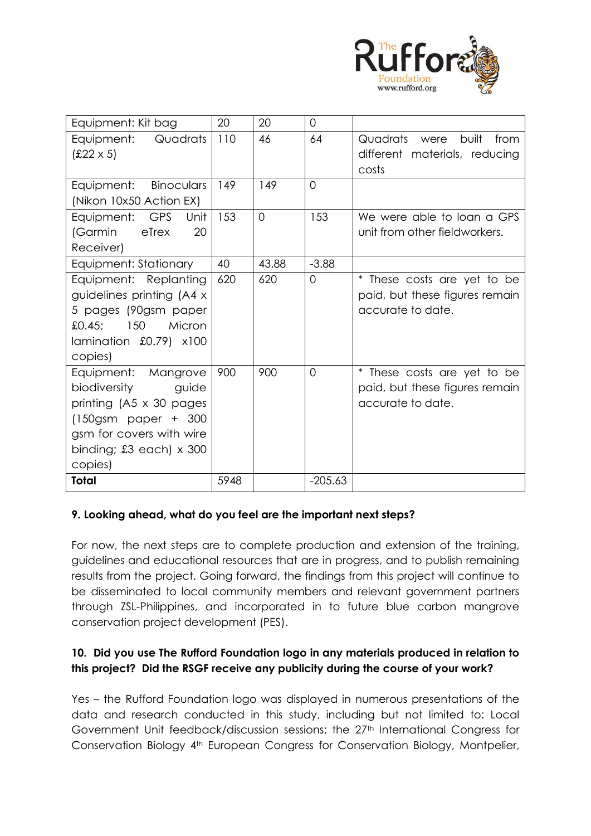

| Equipment: Kit bag               | 20   | 20       | $\overline{0}$ |                                   |
|----------------------------------|------|----------|----------------|-----------------------------------|
| Quadrats<br>Equipment:           | 110  | 46       | 64             | Quadrats<br>built<br>from<br>were |
| $£22 \times 5)$                  |      |          |                | different materials, reducing     |
|                                  |      |          |                | costs                             |
| Binoculars<br>Equipment:         | 149  | 149      | $\overline{0}$ |                                   |
| (Nikon 10x50 Action EX)          |      |          |                |                                   |
| Equipment: GPS<br>Unit           | 153  | $\Omega$ | 153            | We were able to loan a GPS        |
| (Garmin<br>eTrex<br>20           |      |          |                | unit from other fieldworkers.     |
| Receiver)                        |      |          |                |                                   |
| Equipment: Stationary            | 40   | 43.88    | $-3.88$        |                                   |
| Equipment: Replanting            | 620  | 620      | $\overline{0}$ | * These costs are yet to be       |
| guidelines printing (A4 x        |      |          |                | paid, but these figures remain    |
| 5 pages (90gsm paper             |      |          |                | accurate to date.                 |
| Micron<br>150<br>£0.45;          |      |          |                |                                   |
| lamination $£0.79$ ) $×100$      |      |          |                |                                   |
| copies)                          |      |          |                |                                   |
| Equipment: Mangrove              | 900  | 900      | 0              | * These costs are yet to be       |
| biodiversity<br>guide            |      |          |                | paid, but these figures remain    |
| printing (A5 x 30 pages)         |      |          |                | accurate to date.                 |
| $(150)$ gsm paper + 300          |      |          |                |                                   |
| gsm for covers with wire         |      |          |                |                                   |
| binding; $£3$ each) $\times$ 300 |      |          |                |                                   |
| copies)                          |      |          |                |                                   |
| <b>Total</b>                     | 5948 |          | $-205.63$      |                                   |

#### **9. Looking ahead, what do you feel are the important next steps?**

For now, the next steps are to complete production and extension of the training, guidelines and educational resources that are in progress, and to publish remaining results from the project. Going forward, the findings from this project will continue to be disseminated to local community members and relevant government partners through ZSL-Philippines, and incorporated in to future blue carbon mangrove conservation project development (PES).

### **10. Did you use The Rufford Foundation logo in any materials produced in relation to this project? Did the RSGF receive any publicity during the course of your work?**

Yes – the Rufford Foundation logo was displayed in numerous presentations of the data and research conducted in this study, including but not limited to: Local Government Unit feedback/discussion sessions; the 27<sup>th</sup> International Congress for Conservation Biology 4th European Congress for Conservation Biology, Montpelier,